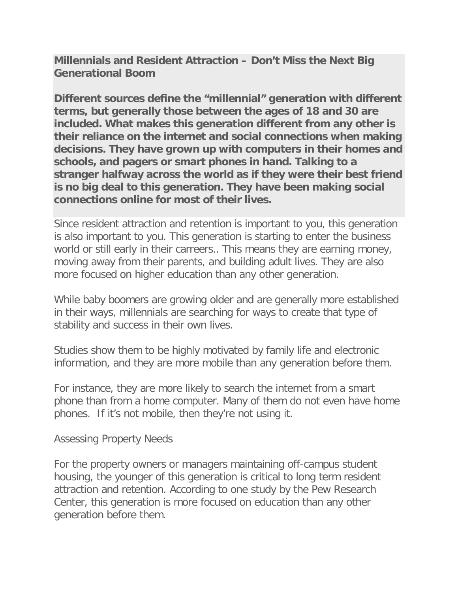**Millennials and Resident Attraction – Don't Miss the Next Big Generational Boom**

**Different sources define the "millennial" generation with different terms, but generally those between the ages of 18 and 30 are included. What makes this generation different from any other is their reliance on the internet and social connections when making decisions. They have grown up with computers in their homes and schools, and pagers or smart phones in hand. Talking to a stranger halfway across the world as if they were their best friend is no big deal to this generation. They have been making social connections online for most of their lives.**

Since resident attraction and retention is important to you, this generation is also important to you. This generation is starting to enter the business world or still early in their carreers.. This means they are earning money, moving away from their parents, and building adult lives. They are also more focused on higher education than any other generation.

While baby boomers are growing older and are generally more established in their ways, millennials are searching for ways to create that type of stability and success in their own lives.

Studies show them to be highly motivated by family life and electronic information, and they are more mobile than any generation before them.

For instance, they are more likely to search the internet from a smart phone than from a home computer. Many of them do not even have home phones. If it's not mobile, then they're not using it.

Assessing Property Needs

For the property owners or managers maintaining off-campus student housing, the younger of this generation is critical to long term resident attraction and retention. According to one study by the Pew Research Center, this generation is more focused on education than any other generation before them.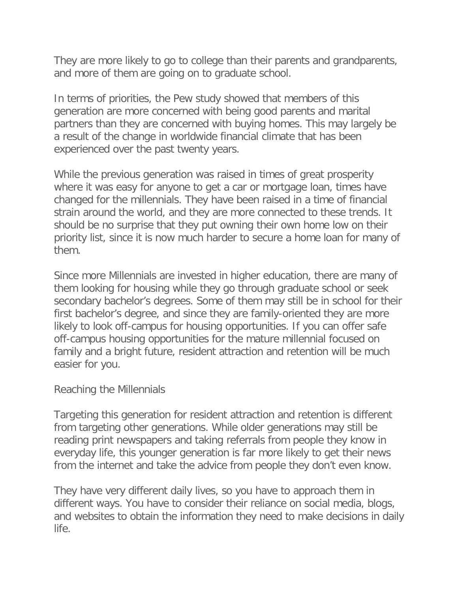They are more likely to go to college than their parents and grandparents, and more of them are going on to graduate school.

In terms of priorities, the Pew study showed that members of this generation are more concerned with being good parents and marital partners than they are concerned with buying homes. This may largely be a result of the change in worldwide financial climate that has been experienced over the past twenty years.

While the previous generation was raised in times of great prosperity where it was easy for anyone to get a car or mortgage loan, times have changed for the millennials. They have been raised in a time of financial strain around the world, and they are more connected to these trends. It should be no surprise that they put owning their own home low on their priority list, since it is now much harder to secure a home loan for many of them.

Since more Millennials are invested in higher education, there are many of them looking for housing while they go through graduate school or seek secondary bachelor's degrees. Some of them may still be in school for their first bachelor's degree, and since they are family-oriented they are more likely to look off-campus for housing opportunities. If you can offer safe off-campus housing opportunities for the mature millennial focused on family and a bright future, resident attraction and retention will be much easier for you.

## Reaching the Millennials

Targeting this generation for resident attraction and retention is different from targeting other generations. While older generations may still be reading print newspapers and taking referrals from people they know in everyday life, this younger generation is far more likely to get their news from the internet and take the advice from people they don't even know.

They have very different daily lives, so you have to approach them in different ways. You have to consider their reliance on social media, blogs, and websites to obtain the information they need to make decisions in daily life.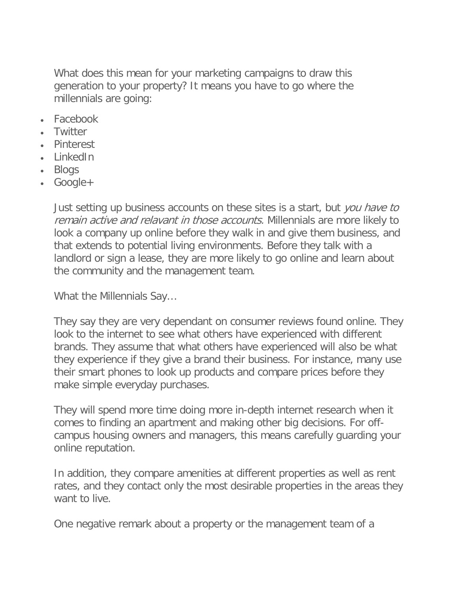What does this mean for your marketing campaigns to draw this generation to your property? It means you have to go where the millennials are going:

- Facebook
- Twitter
- Pinterest
- LinkedIn
- Blogs
- Google+

Just setting up business accounts on these sites is a start, but you have to remain active and relavant in those accounts. Millennials are more likely to look a company up online before they walk in and give them business, and that extends to potential living environments. Before they talk with a landlord or sign a lease, they are more likely to go online and learn about the community and the management team.

What the Millennials Say…

They say they are very dependant on consumer reviews found online. They look to the internet to see what others have experienced with different brands. They assume that what others have experienced will also be what they experience if they give a brand their business. For instance, many use their smart phones to look up products and compare prices before they make simple everyday purchases.

They will spend more time doing more in-depth internet research when it comes to finding an apartment and making other big decisions. For offcampus housing owners and managers, this means carefully guarding your online reputation.

In addition, they compare amenities at different properties as well as rent rates, and they contact only the most desirable properties in the areas they want to live.

One negative remark about a property or the management team of a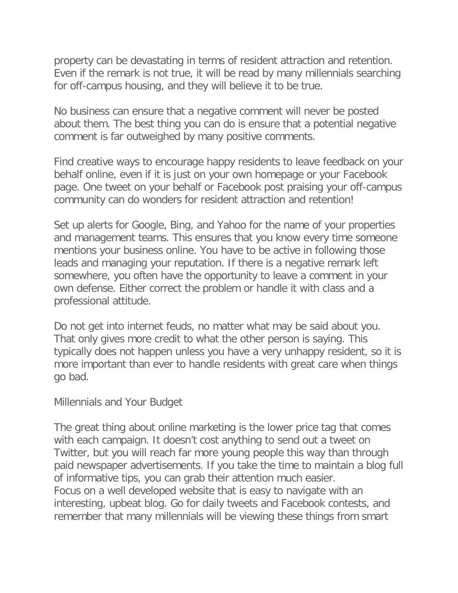property can be devastating in terms of resident attraction and retention. Even if the remark is not true, it will be read by many millennials searching for off-campus housing, and they will believe it to be true.

No business can ensure that a negative comment will never be posted about them. The best thing you can do is ensure that a potential negative comment is far outweighed by many positive comments.

Find creative ways to encourage happy residents to leave feedback on your behalf online, even if it is just on your own homepage or your Facebook page. One tweet on your behalf or Facebook post praising your off-campus community can do wonders for resident attraction and retention!

Set up alerts for Google, Bing, and Yahoo for the name of your properties and management teams. This ensures that you know every time someone mentions your business online. You have to be active in following those leads and managing your reputation. If there is a negative remark left somewhere, you often have the opportunity to leave a comment in your own defense. Either correct the problem or handle it with class and a professional attitude.

Do not get into internet feuds, no matter what may be said about you. That only gives more credit to what the other person is saying. This typically does not happen unless you have a very unhappy resident, so it is more important than ever to handle residents with great care when things go bad.

Millennials and Your Budget

The great thing about online marketing is the lower price tag that comes with each campaign. It doesn't cost anything to send out a tweet on Twitter, but you will reach far more young people this way than through paid newspaper advertisements. If you take the time to maintain a blog full of informative tips, you can grab their attention much easier. Focus on a well developed website that is easy to navigate with an interesting, upbeat blog. Go for daily tweets and Facebook contests, and remember that many millennials will be viewing these things from smart